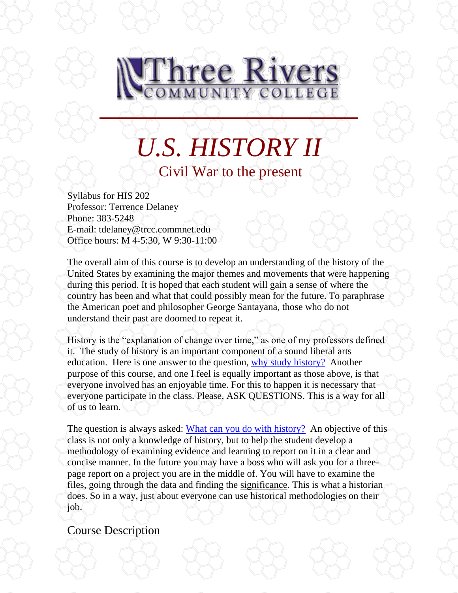

*U.S. HISTORY II* Civil War to the present

Syllabus for HIS 202 Professor: Terrence Delaney Phone: 383-5248 E-mail: tdelaney@trcc.commnet.edu Office hours: M 4-5:30, W 9:30-11:00

The overall aim of this course is to develop an understanding of the history of the United States by examining the major themes and movements that were happening during this period. It is hoped that each student will gain a sense of where the country has been and what that could possibly mean for the future. To paraphrase the American poet and philosopher George Santayana, those who do not understand their past are doomed to repeat it.

History is the "explanation of change over time," as one of my professors defined it. The study of history is an important component of a sound liberal arts education. Here is one answer to the question, [why study history?](http://history.hanover.edu/why.html) Another purpose of this course, and one I feel is equally important as those above, is that everyone involved has an enjoyable time. For this to happen it is necessary that everyone participate in the class. Please, ASK QUESTIONS. This is a way for all of us to learn.

The question is always asked: [What can you do with history?](http://www.trcc.commnet.edu/Prog_Study/Soc_Sciences/history/careeropportunities.htm) An objective of this class is not only a knowledge of history, but to help the student develop a methodology of examining evidence and learning to report on it in a clear and concise manner. In the future you may have a boss who will ask you for a threepage report on a project you are in the middle of. You will have to examine the files, going through the data and finding the significance. This is what a historian does. So in a way, just about everyone can use historical methodologies on their job.

## Course Description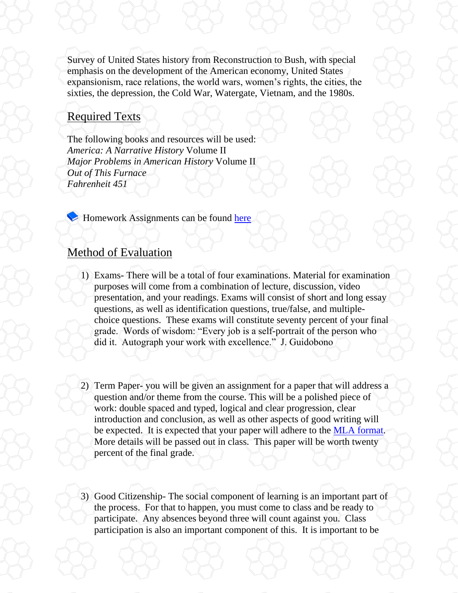Survey of United States history from Reconstruction to Bush, with special emphasis on the development of the American economy, United States expansionism, race relations, the world wars, women's rights, the cities, the sixties, the depression, the Cold War, Watergate, Vietnam, and the 1980s.

## Required Texts

The following books and resources will be used: *America: A Narrative History* Volume II *Major Problems in American History* Volume II *Out of This Furnace Fahrenheit 451*

**Homework Assignments can be found [here](file://///sysdwardite.commnet.edu/trcc$/www/Prog_Study/Soc_Sciences/history/delaney/ushist2/readlist.htm)** 

# Method of Evaluation

- 1) Exams- There will be a total of four examinations. Material for examination purposes will come from a combination of lecture, discussion, video presentation, and your readings. Exams will consist of short and long essay questions, as well as identification questions, true/false, and multiplechoice questions. These exams will constitute seventy percent of your final grade. Words of wisdom: "Every job is a self-portrait of the person who did it. Autograph your work with excellence." J. Guidobono
- 2) Term Paper- you will be given an assignment for a paper that will address a question and/or theme from the course. This will be a polished piece of work: double spaced and typed, logical and clear progression, clear introduction and conclusion, as well as other aspects of good writing will be expected. It is expected that your paper will adhere to the [MLA format.](http://owl.english.purdue.edu/owl/resource/557/01/) More details will be passed out in class. This paper will be worth twenty percent of the final grade.
- 3) Good Citizenship- The social component of learning is an important part of the process. For that to happen, you must come to class and be ready to participate. Any absences beyond three will count against you. Class participation is also an important component of this. It is important to be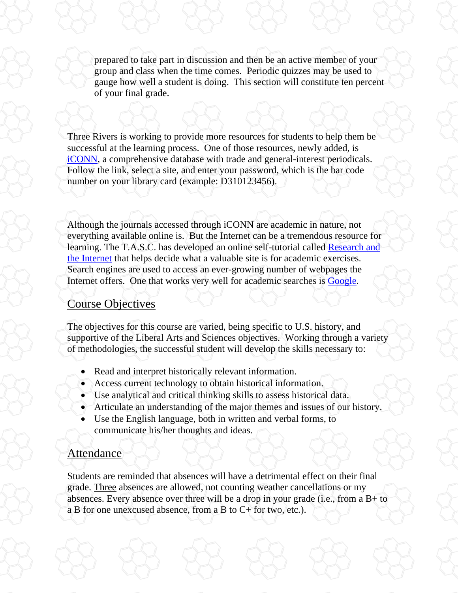prepared to take part in discussion and then be an active member of your group and class when the time comes. Periodic quizzes may be used to gauge how well a student is doing. This section will constitute ten percent of your final grade.

Three Rivers is working to provide more resources for students to help them be successful at the learning process. One of those resources, newly added, is [iCONN,](http://rqst-agent.auto-graphics.com/homepages/customerwide/IpValidation.asp?lid=&cuid=rqst&cusrvr=minerva&dataid=&class=&barcode=) a comprehensive database with trade and general-interest periodicals. Follow the link, select a site, and enter your password, which is the bar code number on your library card (example: D310123456).

Although the journals accessed through iCONN are academic in nature, not everything available online is. But the Internet can be a tremendous resource for learning. The T.A.S.C. has developed an online self-tutorial called Research and [the Internet](http://www.trcc.commnet.edu/Ed_Resources/TASC/Internet/TASC%20Internet_files/frame.htm) that helps decide what a valuable site is for academic exercises. Search engines are used to access an ever-growing number of webpages the Internet offers. One that works very well for academic searches is **Google**.

#### Course Objectives

The objectives for this course are varied, being specific to U.S. history, and supportive of the Liberal Arts and Sciences objectives. Working through a variety of methodologies, the successful student will develop the skills necessary to:

- Read and interpret historically relevant information.
- Access current technology to obtain historical information.
- Use analytical and critical thinking skills to assess historical data.
- Articulate an understanding of the major themes and issues of our history.
- Use the English language, both in written and verbal forms, to communicate his/her thoughts and ideas.

## Attendance

Students are reminded that absences will have a detrimental effect on their final grade. Three absences are allowed, not counting weather cancellations or my absences. Every absence over three will be a drop in your grade (i.e., from a  $B+$  to a B for one unexcused absence, from a B to C+ for two, etc.).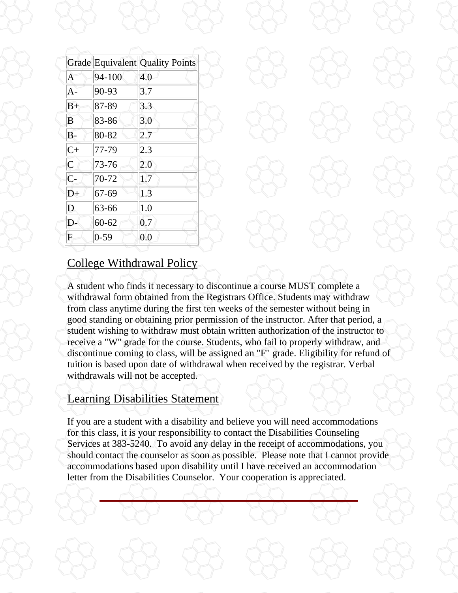|                  |           | <b>Grade Equivalent Quality Points</b> |
|------------------|-----------|----------------------------------------|
| $\overline{A}$   | 94-100    | 4.0                                    |
| $A -$            | 90-93     | 3.7                                    |
| $B+$             | 87-89     | 3.3                                    |
| B                | 83-86     | 3.0                                    |
| $B-$             | 80-82     | 2.7                                    |
| $C+$             | 77-79     | 2.3                                    |
| $\overline{C}$   | 73-76     | 2.0                                    |
| $\overline{C}$ - | 70-72     | 1.7                                    |
| D+               | 67-69     | 1.3                                    |
| D                | 63-66     | 1.0                                    |
| D-               | $60 - 62$ | 0.7                                    |
| F                | $0 - 59$  | 0.0                                    |

## College Withdrawal Policy

A student who finds it necessary to discontinue a course MUST complete a withdrawal form obtained from the Registrars Office. Students may withdraw from class anytime during the first ten weeks of the semester without being in good standing or obtaining prior permission of the instructor. After that period, a student wishing to withdraw must obtain written authorization of the instructor to receive a "W" grade for the course. Students, who fail to properly withdraw, and discontinue coming to class, will be assigned an "F" grade. Eligibility for refund of tuition is based upon date of withdrawal when received by the registrar. Verbal withdrawals will not be accepted.

# Learning Disabilities Statement

If you are a student with a disability and believe you will need accommodations for this class, it is your responsibility to contact the Disabilities Counseling Services at 383-5240. To avoid any delay in the receipt of accommodations, you should contact the counselor as soon as possible. Please note that I cannot provide accommodations based upon disability until I have received an accommodation letter from the Disabilities Counselor. Your cooperation is appreciated.